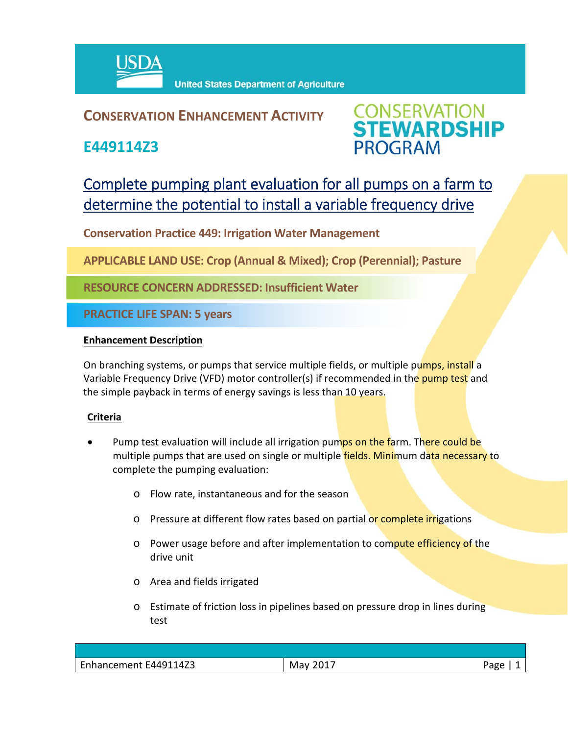

### **CONSERVATION ENHANCEMENT ACTIVITY**

**E449114Z3**



## Complete pumping plant evaluation for all pumps on a farm to determine the potential to install a variable frequency drive

**Conservation Practice 449: Irrigation Water Management** 

**APPLICABLE LAND USE: Crop (Annual & Mixed); Crop (Perennial); Pasture**

**RESOURCE CONCERN ADDRESSED: Insufficient Water**

**PRACTICE LIFE SPAN: 5 years**

#### **Enhancement Description**

On branching systems, or pumps that service multiple fields, or multiple pumps, install a Variable Frequency Drive (VFD) motor controller(s) if recommended in the pump test and the simple payback in terms of energy savings is less than 10 years.

#### **Criteria**

- Pump test evaluation will include all irrigation pumps on the farm. There could be multiple pumps that are used on single or multiple fields. Minimum data necessary to complete the pumping evaluation:
	- o Flow rate, instantaneous and for the season
	- o Pressure at different flow rates based on partial or complete irrigations
	- o Power usage before and after implementation to compute efficiency of the drive unit
	- o Area and fields irrigated
	- o Estimate of friction loss in pipelines based on pressure drop in lines during test

| $\sim$<br>.1147 <sup>2</sup><br>-r4491 <del>-</del><br>nhonoomont<br>Fonancement<br>−⊷ | M<br>วง<br>--- | 'age |
|----------------------------------------------------------------------------------------|----------------|------|
|                                                                                        |                |      |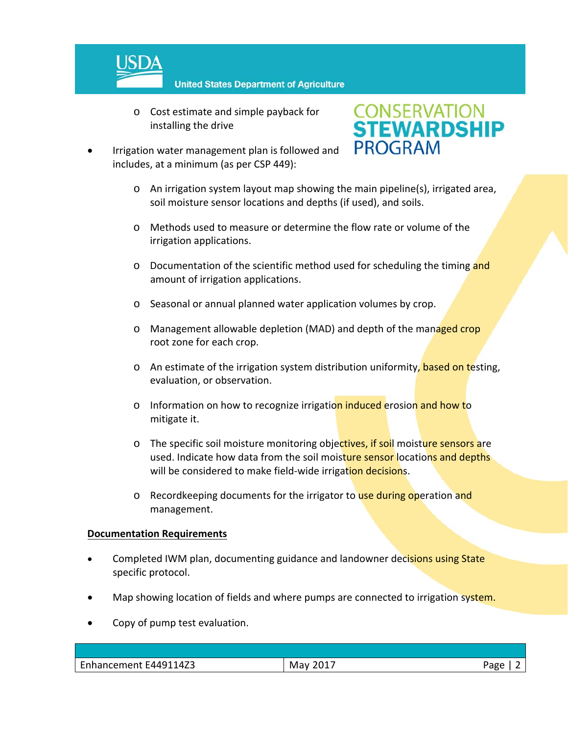

o Cost estimate and simple payback for installing the drive



- Irrigation water management plan is followed and includes, at a minimum (as per CSP 449):
	- o An irrigation system layout map showing the main pipeline(s), irrigated area, soil moisture sensor locations and depths (if used), and soils.
	- o Methods used to measure or determine the flow rate or volume of the irrigation applications.
	- $\circ$  Documentation of the scientific method used for scheduling the timing and amount of irrigation applications.
	- o Seasonal or annual planned water application volumes by crop.
	- o Management allowable depletion (MAD) and depth of the managed crop root zone for each crop.
	- o An estimate of the irrigation system distribution uniformity, based on testing, evaluation, or observation.
	- o Information on how to recognize irrigation induced erosion and how to mitigate it.
	- o The specific soil moisture monitoring objectives, if soil moisture sensors are used. Indicate how data from the soil moisture sensor locations and depths will be considered to make field-wide irrigation decisions.
	- o Recordkeeping documents for the irrigator to use during operation and management.

#### **Documentation Requirements**

- Completed IWM plan, documenting guidance and landowner decisions using State specific protocol.
- Map showing location of fields and where pumps are connected to irrigation system.
- Copy of pump test evaluation.

| -<br>E449114Z3<br>2017<br>Enhancement<br>ARP<br>Mav<br>-0 |  |  |
|-----------------------------------------------------------|--|--|
|                                                           |  |  |